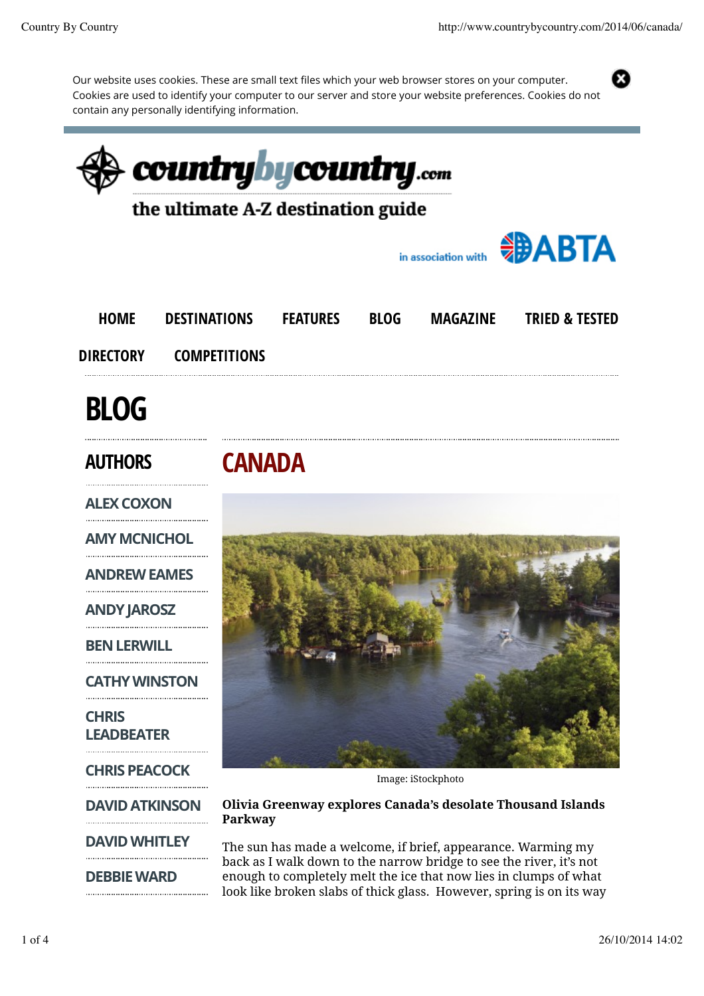X

Our website uses cookies. These are small text files which your web browser stores on your computer. Cookies are used to identify your computer to our server and store your website preferences. Cookies do not contain any personally identifying information.

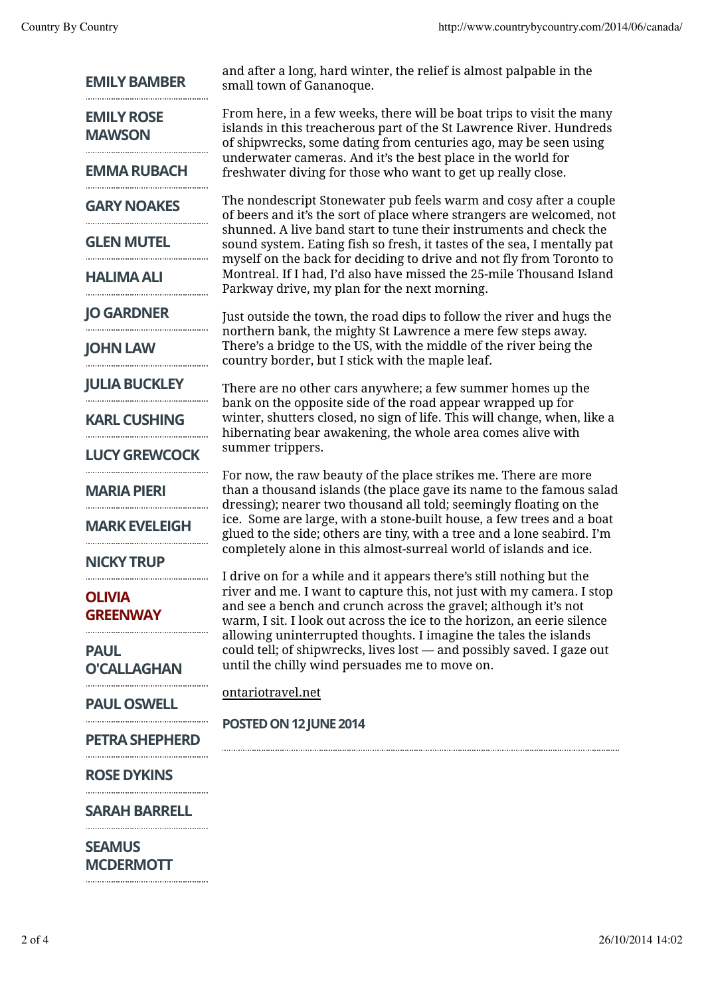| <b>EMILY BAMBER</b>                | and after a long, hard winter, the relief is almost palpable in the<br>small town of Gananoque.                                                                                                                                                                                                                                                                                                                                                                                                                                                                                                                                                                                                                                                                                                                                                          |
|------------------------------------|----------------------------------------------------------------------------------------------------------------------------------------------------------------------------------------------------------------------------------------------------------------------------------------------------------------------------------------------------------------------------------------------------------------------------------------------------------------------------------------------------------------------------------------------------------------------------------------------------------------------------------------------------------------------------------------------------------------------------------------------------------------------------------------------------------------------------------------------------------|
| <b>EMILY ROSE</b><br><b>MAWSON</b> | From here, in a few weeks, there will be boat trips to visit the many<br>islands in this treacherous part of the St Lawrence River. Hundreds<br>of shipwrecks, some dating from centuries ago, may be seen using<br>underwater cameras. And it's the best place in the world for<br>freshwater diving for those who want to get up really close.                                                                                                                                                                                                                                                                                                                                                                                                                                                                                                         |
| <b>EMMA RUBACH</b>                 |                                                                                                                                                                                                                                                                                                                                                                                                                                                                                                                                                                                                                                                                                                                                                                                                                                                          |
| <b>GARY NOAKES</b>                 | The nondescript Stonewater pub feels warm and cosy after a couple<br>of beers and it's the sort of place where strangers are welcomed, not<br>shunned. A live band start to tune their instruments and check the<br>sound system. Eating fish so fresh, it tastes of the sea, I mentally pat<br>myself on the back for deciding to drive and not fly from Toronto to<br>Montreal. If I had, I'd also have missed the 25-mile Thousand Island<br>Parkway drive, my plan for the next morning.                                                                                                                                                                                                                                                                                                                                                             |
| <b>GLEN MUTEL</b>                  |                                                                                                                                                                                                                                                                                                                                                                                                                                                                                                                                                                                                                                                                                                                                                                                                                                                          |
| <b>HALIMA ALI</b>                  |                                                                                                                                                                                                                                                                                                                                                                                                                                                                                                                                                                                                                                                                                                                                                                                                                                                          |
| <b>JO GARDNER</b>                  | Just outside the town, the road dips to follow the river and hugs the                                                                                                                                                                                                                                                                                                                                                                                                                                                                                                                                                                                                                                                                                                                                                                                    |
| <b>JOHN LAW</b>                    | northern bank, the mighty St Lawrence a mere few steps away.<br>There's a bridge to the US, with the middle of the river being the<br>country border, but I stick with the maple leaf.<br>There are no other cars anywhere; a few summer homes up the<br>bank on the opposite side of the road appear wrapped up for<br>winter, shutters closed, no sign of life. This will change, when, like a<br>hibernating bear awakening, the whole area comes alive with<br>summer trippers.<br>For now, the raw beauty of the place strikes me. There are more<br>than a thousand islands (the place gave its name to the famous salad<br>dressing); nearer two thousand all told; seemingly floating on the<br>ice. Some are large, with a stone-built house, a few trees and a boat<br>glued to the side; others are tiny, with a tree and a lone seabird. I'm |
| <b>JULIA BUCKLEY</b>               |                                                                                                                                                                                                                                                                                                                                                                                                                                                                                                                                                                                                                                                                                                                                                                                                                                                          |
| <b>KARL CUSHING</b>                |                                                                                                                                                                                                                                                                                                                                                                                                                                                                                                                                                                                                                                                                                                                                                                                                                                                          |
| <b>LUCY GREWCOCK</b>               |                                                                                                                                                                                                                                                                                                                                                                                                                                                                                                                                                                                                                                                                                                                                                                                                                                                          |
| <b>MARIA PIERI</b>                 |                                                                                                                                                                                                                                                                                                                                                                                                                                                                                                                                                                                                                                                                                                                                                                                                                                                          |
| <b>MARK EVELEIGH</b>               |                                                                                                                                                                                                                                                                                                                                                                                                                                                                                                                                                                                                                                                                                                                                                                                                                                                          |
| <b>NICKY TRUP</b>                  | completely alone in this almost-surreal world of islands and ice.                                                                                                                                                                                                                                                                                                                                                                                                                                                                                                                                                                                                                                                                                                                                                                                        |
| <b>OLIVIA</b><br><b>GREENWAY</b>   | I drive on for a while and it appears there's still nothing but the<br>river and me. I want to capture this, not just with my camera. I stop<br>and see a bench and crunch across the gravel; although it's not<br>warm, I sit. I look out across the ice to the horizon, an eerie silence<br>allowing uninterrupted thoughts. I imagine the tales the islands<br>could tell; of shipwrecks, lives lost - and possibly saved. I gaze out<br>until the chilly wind persuades me to move on.<br>ontariotravel.net<br>POSTED ON 12 JUNE 2014                                                                                                                                                                                                                                                                                                                |
| <b>PAUL</b><br><b>O'CALLAGHAN</b>  |                                                                                                                                                                                                                                                                                                                                                                                                                                                                                                                                                                                                                                                                                                                                                                                                                                                          |
| <b>PAUL OSWELL</b>                 |                                                                                                                                                                                                                                                                                                                                                                                                                                                                                                                                                                                                                                                                                                                                                                                                                                                          |
| <b>PETRA SHEPHERD</b>              |                                                                                                                                                                                                                                                                                                                                                                                                                                                                                                                                                                                                                                                                                                                                                                                                                                                          |
| <b>ROSE DYKINS</b>                 |                                                                                                                                                                                                                                                                                                                                                                                                                                                                                                                                                                                                                                                                                                                                                                                                                                                          |
| <b>SARAH BARRELL</b>               |                                                                                                                                                                                                                                                                                                                                                                                                                                                                                                                                                                                                                                                                                                                                                                                                                                                          |
| <b>SEAMUS</b><br><b>MCDERMOTT</b>  |                                                                                                                                                                                                                                                                                                                                                                                                                                                                                                                                                                                                                                                                                                                                                                                                                                                          |

 $\begin{minipage}{.4\linewidth} \begin{tabular}{l} \hline \textbf{1} & \textbf{2} & \textbf{3} & \textbf{4} & \textbf{5} & \textbf{6} & \textbf{6} & \textbf{7} & \textbf{8} & \textbf{9} & \textbf{10} & \textbf{10} & \textbf{10} & \textbf{10} & \textbf{10} & \textbf{10} & \textbf{10} & \textbf{10} & \textbf{10} & \textbf{10} & \textbf{10} & \textbf{10} & \textbf{10} & \textbf{10} & \textbf{10} & \textbf{10}$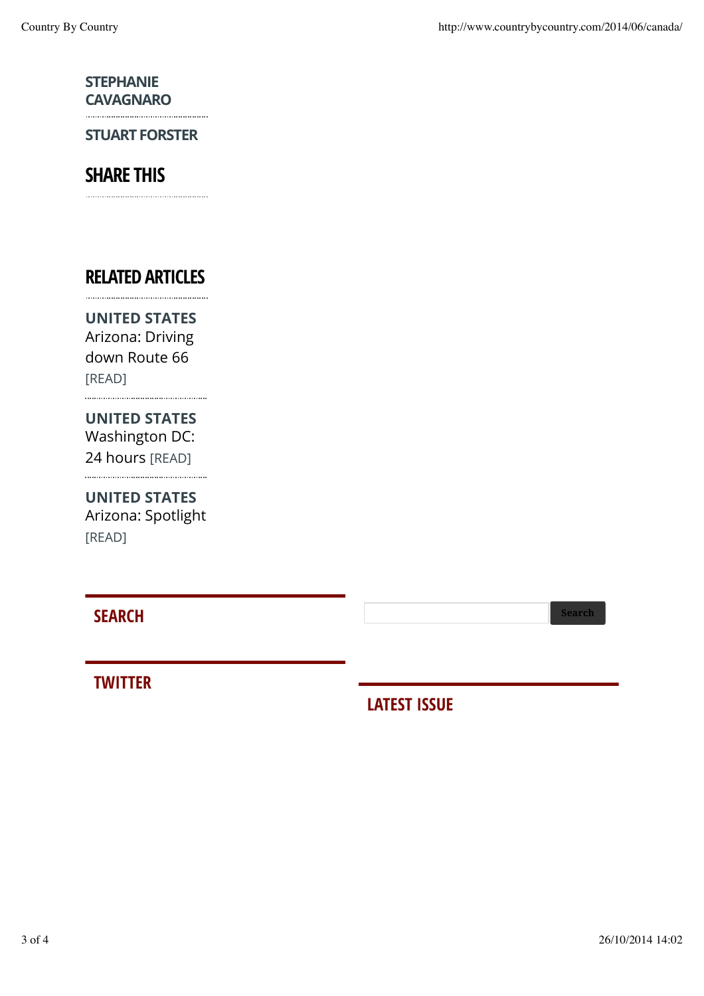#### STEPHANIE **CAVAGNARO**

STUART FORSTER

# SHARE THIS

### RELATED ARTICLES

UNITED STATES Arizona: Driving down Route 66 [READ]

### UNITED STATES Washington DC: 24 hours [READ]

UNITED STATES

Arizona: Spotlight [READ]

## **SEARCH** Search Search Search Search Search Search Search Search Search Search Search Search Search Search Search Search Search Search Search Search Search Search Search Search Search Search Search Search Search Search Sea

### **TWITTER**

# LATEST ISSUE